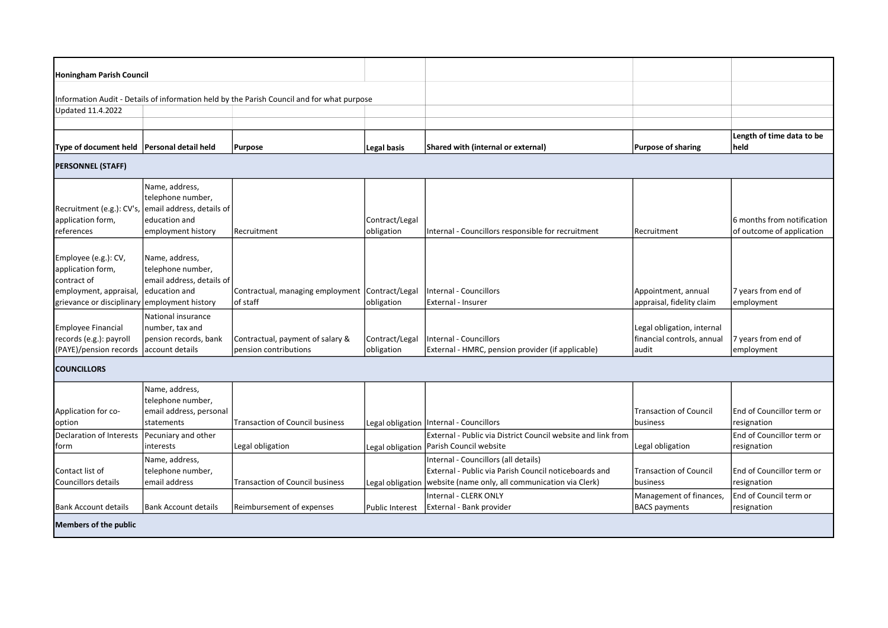| <b>Honingham Parish Council</b>                                                                                                    |                                                                                    |                                                                                            |                              |                                                                                                                                                                            |                                                                       |                                                                    |  |  |  |  |  |  |
|------------------------------------------------------------------------------------------------------------------------------------|------------------------------------------------------------------------------------|--------------------------------------------------------------------------------------------|------------------------------|----------------------------------------------------------------------------------------------------------------------------------------------------------------------------|-----------------------------------------------------------------------|--------------------------------------------------------------------|--|--|--|--|--|--|
|                                                                                                                                    |                                                                                    |                                                                                            |                              |                                                                                                                                                                            |                                                                       |                                                                    |  |  |  |  |  |  |
|                                                                                                                                    |                                                                                    | Information Audit - Details of information held by the Parish Council and for what purpose |                              |                                                                                                                                                                            |                                                                       |                                                                    |  |  |  |  |  |  |
| Updated 11.4.2022                                                                                                                  |                                                                                    |                                                                                            |                              |                                                                                                                                                                            |                                                                       |                                                                    |  |  |  |  |  |  |
|                                                                                                                                    |                                                                                    |                                                                                            |                              |                                                                                                                                                                            |                                                                       |                                                                    |  |  |  |  |  |  |
| Type of document held                                                                                                              | Personal detail held                                                               | Purpose                                                                                    | Legal basis                  | Shared with (internal or external)                                                                                                                                         | <b>Purpose of sharing</b>                                             | Length of time data to be<br> held                                 |  |  |  |  |  |  |
| <b>PERSONNEL (STAFF)</b>                                                                                                           |                                                                                    |                                                                                            |                              |                                                                                                                                                                            |                                                                       |                                                                    |  |  |  |  |  |  |
| Recruitment (e.g.): CV's,<br>application form,                                                                                     | Name, address,<br>telephone number,<br>email address, details of<br>education and  |                                                                                            | Contract/Legal               |                                                                                                                                                                            |                                                                       | 6 months from notification                                         |  |  |  |  |  |  |
| references                                                                                                                         | employment history                                                                 | Recruitment                                                                                | obligation                   | Internal - Councillors responsible for recruitment                                                                                                                         | l Recruitment                                                         | of outcome of application                                          |  |  |  |  |  |  |
| Employee (e.g.): CV,<br>application form,<br>contract of<br>employment, appraisal,<br>grievance or disciplinary employment history | Name, address,<br>telephone number,<br>email address, details of<br>leducation and | Contractual, managing employment Contract/Legal<br>of staff                                | obligation                   | <b>Internal - Councillors</b><br>External - Insurer                                                                                                                        | Appointment, annual<br>appraisal, fidelity claim                      | 7 years from end of<br>employment                                  |  |  |  |  |  |  |
| <b>Employee Financial</b><br>records (e.g.): payroll<br>(PAYE)/pension records                                                     | National insurance<br>number, tax and<br>pension records, bank<br>account details  | Contractual, payment of salary &<br>pension contributions                                  | Contract/Legal<br>obligation | <b>Internal - Councillors</b><br>External - HMRC, pension provider (if applicable)                                                                                         | Legal obligation, internal<br>financial controls, annual<br>audit     | 7 years from end of<br>employment                                  |  |  |  |  |  |  |
| <b>COUNCILLORS</b>                                                                                                                 |                                                                                    |                                                                                            |                              |                                                                                                                                                                            |                                                                       |                                                                    |  |  |  |  |  |  |
| Application for co-<br>option                                                                                                      | Name, address,<br>telephone number,<br>email address, personal<br>statements       | <b>Transaction of Council business</b>                                                     |                              | Legal obligation   Internal - Councillors                                                                                                                                  | <b>Transaction of Council</b><br><i>Ibusiness</i>                     | End of Councillor term or<br>resignation                           |  |  |  |  |  |  |
| Declaration of Interests                                                                                                           | Pecuniary and other                                                                |                                                                                            |                              | External - Public via District Council website and link from                                                                                                               |                                                                       | End of Councillor term or                                          |  |  |  |  |  |  |
| form                                                                                                                               | interests                                                                          | Legal obligation                                                                           | Legal obligation             | Parish Council website                                                                                                                                                     | Legal obligation                                                      | resignation                                                        |  |  |  |  |  |  |
| Contact list of<br>Councillors details                                                                                             | Name, address,<br>telephone number,<br>email address                               | <b>Transaction of Council business</b>                                                     | Legal obligation             | Internal - Councillors (all details)<br>External - Public via Parish Council noticeboards and<br>website (name only, all communication via Clerk)<br>Internal - CLERK ONLY | <b>Transaction of Council</b><br> business<br>Management of finances, | End of Councillor term or<br>resignation<br>End of Council term or |  |  |  |  |  |  |
| <b>Bank Account details</b>                                                                                                        | <b>Bank Account details</b>                                                        | Reimbursement of expenses                                                                  | <b>Public Interest</b>       | External - Bank provider                                                                                                                                                   | <b>BACS</b> payments                                                  | resignation                                                        |  |  |  |  |  |  |
| <b>Members of the public</b>                                                                                                       |                                                                                    |                                                                                            |                              |                                                                                                                                                                            |                                                                       |                                                                    |  |  |  |  |  |  |